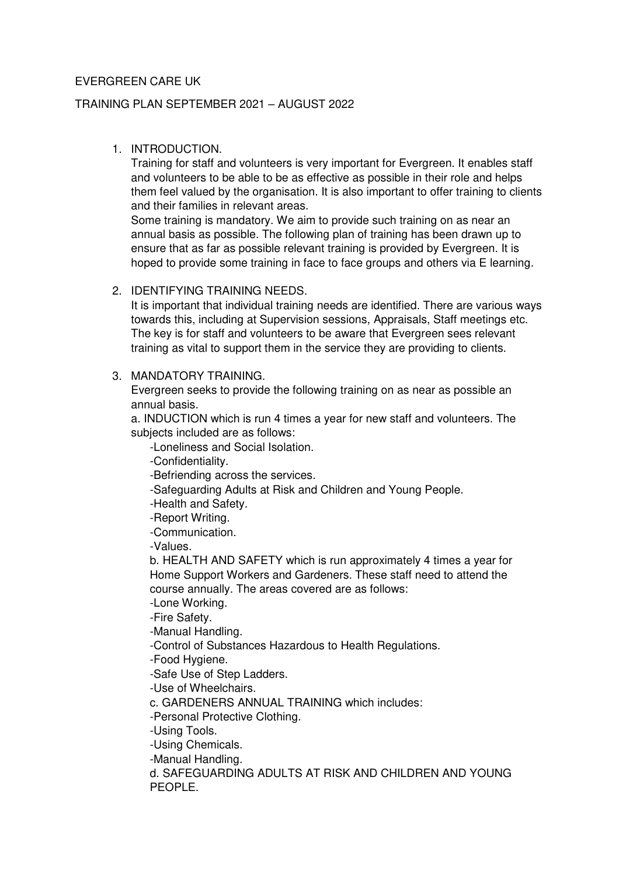## EVERGREEN CARE UK

### TRAINING PLAN SEPTEMBER 2021 – AUGUST 2022

### 1. INTRODUCTION.

Training for staff and volunteers is very important for Evergreen. It enables staff and volunteers to be able to be as effective as possible in their role and helps them feel valued by the organisation. It is also important to offer training to clients and their families in relevant areas.

Some training is mandatory. We aim to provide such training on as near an annual basis as possible. The following plan of training has been drawn up to ensure that as far as possible relevant training is provided by Evergreen. It is hoped to provide some training in face to face groups and others via E learning.

## 2. IDENTIFYING TRAINING NEEDS.

It is important that individual training needs are identified. There are various ways towards this, including at Supervision sessions, Appraisals, Staff meetings etc. The key is for staff and volunteers to be aware that Evergreen sees relevant training as vital to support them in the service they are providing to clients.

#### 3. MANDATORY TRAINING.

Evergreen seeks to provide the following training on as near as possible an annual basis.

a. INDUCTION which is run 4 times a year for new staff and volunteers. The subjects included are as follows:

-Loneliness and Social Isolation.

-Confidentiality.

-Befriending across the services.

-Safeguarding Adults at Risk and Children and Young People.

-Health and Safety.

-Report Writing.

-Communication.

-Values.

b. HEALTH AND SAFETY which is run approximately 4 times a year for Home Support Workers and Gardeners. These staff need to attend the course annually. The areas covered are as follows:

-Lone Working.

-Fire Safety.

-Manual Handling.

-Control of Substances Hazardous to Health Regulations.

-Food Hygiene.

-Safe Use of Step Ladders.

-Use of Wheelchairs.

c. GARDENERS ANNUAL TRAINING which includes:

-Personal Protective Clothing.

-Using Tools.

-Using Chemicals.

-Manual Handling.

d. SAFEGUARDING ADULTS AT RISK AND CHILDREN AND YOUNG PEOPLE.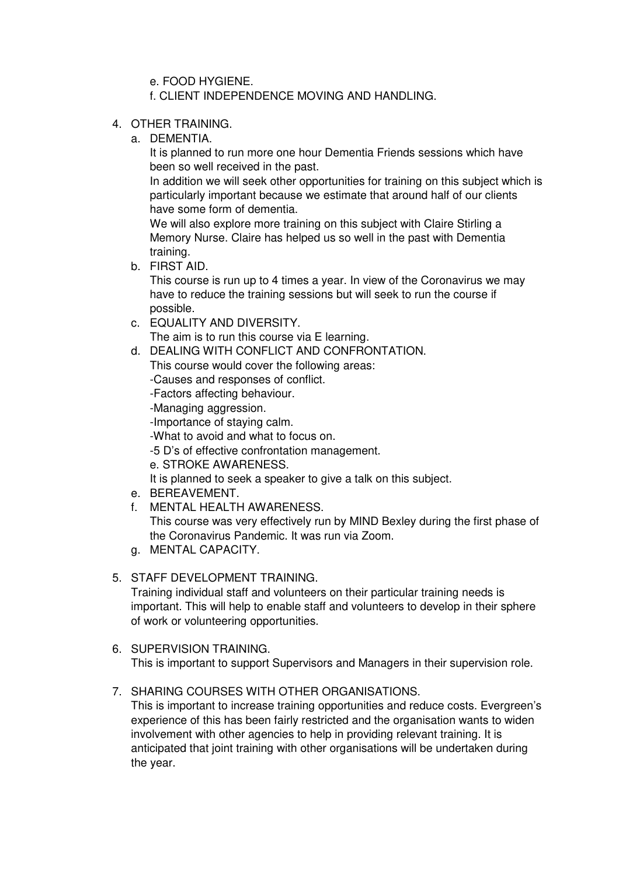e. FOOD HYGIENE.

f. CLIENT INDEPENDENCE MOVING AND HANDLING.

- 4. OTHER TRAINING.
	- a. DEMENTIA.

It is planned to run more one hour Dementia Friends sessions which have been so well received in the past.

In addition we will seek other opportunities for training on this subject which is particularly important because we estimate that around half of our clients have some form of dementia.

We will also explore more training on this subject with Claire Stirling a Memory Nurse. Claire has helped us so well in the past with Dementia training.

b. FIRST AID.

This course is run up to 4 times a year. In view of the Coronavirus we may have to reduce the training sessions but will seek to run the course if possible.

c. EQUALITY AND DIVERSITY.

The aim is to run this course via E learning.

d. DEALING WITH CONFLICT AND CONFRONTATION.

This course would cover the following areas:

-Causes and responses of conflict.

-Factors affecting behaviour.

-Managing aggression.

-Importance of staying calm.

-What to avoid and what to focus on.

-5 D's of effective confrontation management.

e. STROKE AWARENESS.

It is planned to seek a speaker to give a talk on this subject.

- e. BEREAVEMENT.
- f. MENTAL HEALTH AWARENESS.

This course was very effectively run by MIND Bexley during the first phase of the Coronavirus Pandemic. It was run via Zoom.

g. MENTAL CAPACITY.

# 5. STAFF DEVELOPMENT TRAINING.

Training individual staff and volunteers on their particular training needs is important. This will help to enable staff and volunteers to develop in their sphere of work or volunteering opportunities.

- 6. SUPERVISION TRAINING. This is important to support Supervisors and Managers in their supervision role.
- 7. SHARING COURSES WITH OTHER ORGANISATIONS.

This is important to increase training opportunities and reduce costs. Evergreen's experience of this has been fairly restricted and the organisation wants to widen involvement with other agencies to help in providing relevant training. It is anticipated that joint training with other organisations will be undertaken during the year.